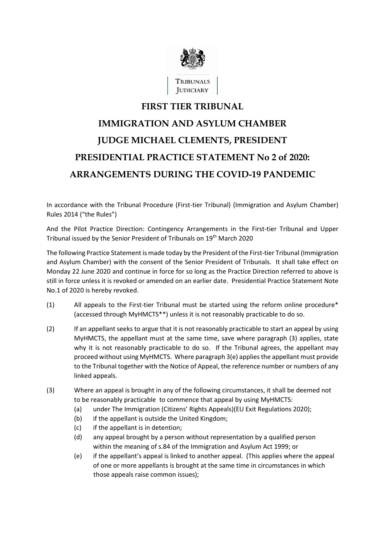

## **FIRST TIER TRIBUNAL IMMIGRATION AND ASYLUM CHAMBER JUDGE MICHAEL CLEMENTS, PRESIDENT PRESIDENTIAL PRACTICE STATEMENT No 2 of 2020: ARRANGEMENTS DURING THE COVID-19 PANDEMIC**

In accordance with the Tribunal Procedure (First-tier Tribunal) (Immigration and Asylum Chamber) Rules 2014 ("the Rules")

And the Pilot Practice Direction: Contingency Arrangements in the First-tier Tribunal and Upper Tribunal issued by the Senior President of Tribunals on 19th March 2020

The following Practice Statement is made today by the President of the First-tier Tribunal (Immigration and Asylum Chamber) with the consent of the Senior President of Tribunals. It shall take effect on Monday 22 June 2020 and continue in force for so long as the Practice Direction referred to above is still in force unless it is revoked or amended on an earlier date. Presidential Practice Statement Note No.1 of 2020 is hereby revoked.

- $(1)$  All appeals to the First-tier Tribunal must be started using the reform online procedure\* (accessed through MyHMCTS\*\*) unless it is not reasonably practicable to do so.
- (2) If an appellant seeks to argue that it is not reasonably practicable to start an appeal by using MyHMCTS, the appellant must at the same time, save where paragraph (3) applies, state why it is not reasonably practicable to do so. If the Tribunal agrees, the appellant may proceed without using MyHMCTS. Where paragraph 3(e) appliesthe appellant must provide to the Tribunal together with the Notice of Appeal, the reference number or numbers of any linked appeals.
- (3) Where an appeal is brought in any of the following circumstances, it shall be deemed not to be reasonably practicable to commence that appeal by using MyHMCTS:
	- (a) under The Immigration (Citizens' Rights Appeals)(EU Exit Regulations 2020);
	- (b) if the appellant is outside the United Kingdom;
	- (c) if the appellant is in detention;
	- (d) any appeal brought by a person without representation by a qualified person within the meaning of s.84 of the Immigration and Asylum Act 1999; or
	- (e) if the appellant's appeal is linked to another appeal. (This applies where the appeal of one or more appellants is brought at the same time in circumstances in which those appeals raise common issues);